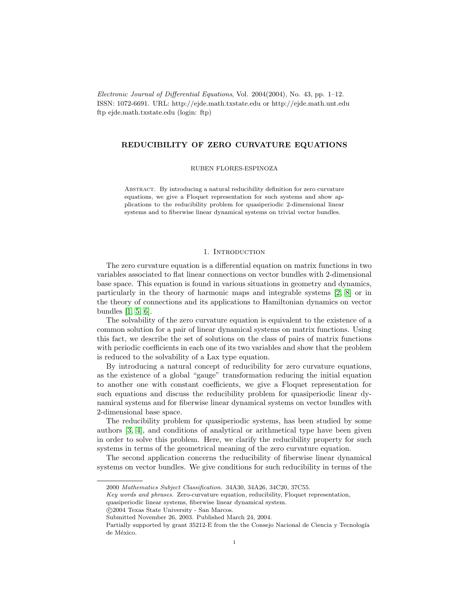Electronic Journal of Differential Equations, Vol. 2004(2004), No. 43, pp. 1–12. ISSN: 1072-6691. URL: http://ejde.math.txstate.edu or http://ejde.math.unt.edu ftp ejde.math.txstate.edu (login: ftp)

# REDUCIBILITY OF ZERO CURVATURE EQUATIONS

RUBEN FLORES-ESPINOZA

Abstract. By introducing a natural reducibility definition for zero curvature equations, we give a Floquet representation for such systems and show applications to the reducibility problem for quasiperiodic 2-dimensional linear systems and to fiberwise linear dynamical systems on trivial vector bundles.

## 1. INTRODUCTION

The zero curvature equation is a differential equation on matrix functions in two variables associated to flat linear connections on vector bundles with 2-dimensional base space. This equation is found in various situations in geometry and dynamics, particularly in the theory of harmonic maps and integrable systems [\[2,](#page-11-0) [8\]](#page-11-1) or in the theory of connections and its applications to Hamiltonian dynamics on vector bundles [\[1,](#page-11-2) [5,](#page-11-3) [6\]](#page-11-4).

The solvability of the zero curvature equation is equivalent to the existence of a common solution for a pair of linear dynamical systems on matrix functions. Using this fact, we describe the set of solutions on the class of pairs of matrix functions with periodic coefficients in each one of its two variables and show that the problem is reduced to the solvability of a Lax type equation.

By introducing a natural concept of reducibility for zero curvature equations, as the existence of a global "gauge" transformation reducing the initial equation to another one with constant coefficients, we give a Floquet representation for such equations and discuss the reducibility problem for quasiperiodic linear dynamical systems and for fiberwise linear dynamical systems on vector bundles with 2-dimensional base space.

The reducibility problem for quasiperiodic systems, has been studied by some authors [\[3,](#page-11-5) [4\]](#page-11-6), and conditions of analytical or arithmetical type have been given in order to solve this problem. Here, we clarify the reducibility property for such systems in terms of the geometrical meaning of the zero curvature equation.

The second application concerns the reducibility of fiberwise linear dynamical systems on vector bundles. We give conditions for such reducibility in terms of the

<sup>2000</sup> Mathematics Subject Classification. 34A30, 34A26, 34C20, 37C55.

Key words and phrases. Zero-curvature equation, reducibility, Floquet representation,

quasiperiodic linear systems, fiberwise linear dynamical system.

c 2004 Texas State University - San Marcos.

Submitted November 26, 2003. Published March 24, 2004.

Partially supported by grant 35212-E from the the Consejo Nacional de Ciencia y Tecnología de México.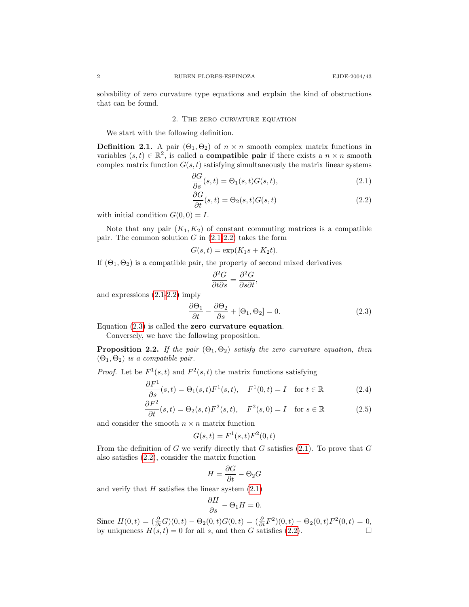solvability of zero curvature type equations and explain the kind of obstructions that can be found.

### 2. The zero curvature equation

We start with the following definition.

**Definition 2.1.** A pair  $(\Theta_1, \Theta_2)$  of  $n \times n$  smooth complex matrix functions in variables  $(s,t) \in \mathbb{R}^2$ , is called a **compatible pair** if there exists a  $n \times n$  smooth complex matrix function  $G(s, t)$  satisfying simultaneously the matrix linear systems

<span id="page-1-0"></span>
$$
\frac{\partial G}{\partial s}(s,t) = \Theta_1(s,t)G(s,t),\tag{2.1}
$$

<span id="page-1-1"></span>
$$
\frac{\partial G}{\partial t}(s,t) = \Theta_2(s,t)G(s,t)
$$
\n(2.2)

with initial condition  $G(0, 0) = I$ .

Note that any pair  $(K_1, K_2)$  of constant commuting matrices is a compatible pair. The common solution  $G$  in  $(2.1-2.2)$  $(2.1-2.2)$  takes the form

$$
G(s,t) = \exp(K_1s + K_2t).
$$

If  $(\Theta_1, \Theta_2)$  is a compatible pair, the property of second mixed derivatives

<span id="page-1-2"></span>
$$
\frac{\partial^2 G}{\partial t \partial s} = \frac{\partial^2 G}{\partial s \partial t},
$$

and expressions [\(2.1-](#page-1-0)[2.2\)](#page-1-1) imply

$$
\frac{\partial \Theta_1}{\partial t} - \frac{\partial \Theta_2}{\partial s} + [\Theta_1, \Theta_2] = 0.
$$
 (2.3)

Equation  $(2.3)$  is called the zero curvature equation.

Conversely, we have the following proposition.

**Proposition 2.2.** If the pair  $(\Theta_1, \Theta_2)$  satisfy the zero curvature equation, then  $(\Theta_1, \Theta_2)$  is a compatible pair.

*Proof.* Let be  $F^1(s,t)$  and  $F^2(s,t)$  the matrix functions satisfying

$$
\frac{\partial F^1}{\partial s}(s,t) = \Theta_1(s,t)F^1(s,t), \quad F^1(0,t) = I \quad \text{for } t \in \mathbb{R}
$$
\n(2.4)

$$
\frac{\partial F^2}{\partial t}(s,t) = \Theta_2(s,t)F^2(s,t), \quad F^2(s,0) = I \quad \text{for } s \in \mathbb{R}
$$
\n(2.5)

and consider the smooth  $n \times n$  matrix function

<span id="page-1-3"></span>
$$
G(s,t) = F1(s,t)F2(0,t)
$$

From the definition of G we verify directly that G satisfies  $(2.1)$ . To prove that G also satisfies [\(2.2\)](#page-1-1), consider the matrix function

<span id="page-1-4"></span>
$$
H = \frac{\partial G}{\partial t} - \Theta_2 G
$$

and verify that  $H$  satisfies the linear system  $(2.1)$ 

$$
\frac{\partial H}{\partial s} - \Theta_1 H = 0.
$$

Since  $H(0,t) = \left(\frac{\partial}{\partial t}G\right)(0,t) - \Theta_2(0,t)G(0,t) = \left(\frac{\partial}{\partial t}F^2\right)(0,t) - \Theta_2(0,t)F^2(0,t) = 0,$ by uniqueness  $H(s, t) = 0$  for all s, and then G satisfies [\(2.2\)](#page-1-1).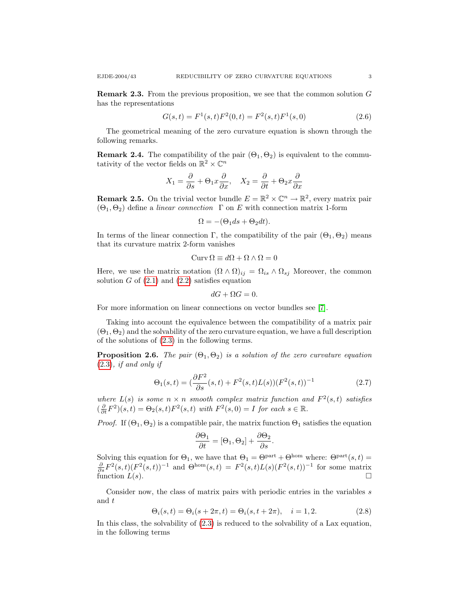has the representations

Remark 2.3. From the previous proposition, we see that the common solution G

<span id="page-2-1"></span>
$$
G(s,t) = F1(s,t)F2(0,t) = F2(s,t)F1(s,0)
$$
\n(2.6)

The geometrical meaning of the zero curvature equation is shown through the following remarks.

<span id="page-2-3"></span>**Remark 2.4.** The compatibility of the pair  $(\Theta_1, \Theta_2)$  is equivalent to the commutativity of the vector fields on  $\mathbb{R}^2 \times \mathbb{C}^n$ 

$$
X_1 = \frac{\partial}{\partial s} + \Theta_1 x \frac{\partial}{\partial x}, \quad X_2 = \frac{\partial}{\partial t} + \Theta_2 x \frac{\partial}{\partial x}
$$

**Remark 2.5.** On the trivial vector bundle  $E = \mathbb{R}^2 \times \mathbb{C}^n \to \mathbb{R}^2$ , every matrix pair  $(\Theta_1, \Theta_2)$  define a linear connection  $\Gamma$  on E with connection matrix 1-form

$$
\Omega = -(\Theta_1 ds + \Theta_2 dt).
$$

In terms of the linear connection Γ, the compatibility of the pair  $(\Theta_1, \Theta_2)$  means that its curvature matrix 2-form vanishes

$$
Curv\,\Omega \equiv d\Omega + \Omega \wedge \Omega = 0
$$

Here, we use the matrix notation  $(\Omega \wedge \Omega)_{ij} = \Omega_{is} \wedge \Omega_{sj}$  Moreover, the common solution  $G$  of  $(2.1)$  and  $(2.2)$  satisfies equation

$$
dG + \Omega G = 0.
$$

For more information on linear connections on vector bundles see [\[7\]](#page-11-7).

Taking into account the equivalence between the compatibility of a matrix pair  $(\Theta_1, \Theta_2)$  and the solvability of the zero curvature equation, we have a full description of the solutions of [\(2.3\)](#page-1-2) in the following terms.

**Proposition 2.6.** The pair  $(\Theta_1, \Theta_2)$  is a solution of the zero curvature equation [\(2.3\)](#page-1-2), if and only if

<span id="page-2-0"></span>
$$
\Theta_1(s,t) = \left(\frac{\partial F^2}{\partial s}(s,t) + F^2(s,t)L(s)\right)(F^2(s,t))^{-1}
$$
\n(2.7)

where  $L(s)$  is some  $n \times n$  smooth complex matrix function and  $F^2(s,t)$  satisfies  $\left(\frac{\partial}{\partial t}F^2\right)(s,t) = \Theta_2(s,t)F^2(s,t)$  with  $F^2(s,0) = I$  for each  $s \in \mathbb{R}$ .

*Proof.* If  $(\Theta_1, \Theta_2)$  is a compatible pair, the matrix function  $\Theta_1$  satisfies the equation

$$
\frac{\partial \Theta_1}{\partial t} = [\Theta_1, \Theta_2] + \frac{\partial \Theta_2}{\partial s}.
$$

Solving this equation for  $\Theta_1$ , we have that  $\Theta_1 = \Theta^{\text{part}} + \Theta^{\text{hom}}$  where:  $\Theta^{\text{part}}(s,t) = \frac{\partial}{\partial s} F^2(s,t) (F^2(s,t))^{-1}$  and  $\Theta^{\text{hom}}(s,t) = F^2(s,t)L(s) (F^2(s,t))^{-1}$  for some matrix function  $L(s)$ .

<span id="page-2-2"></span>Consider now, the class of matrix pairs with periodic entries in the variables s and t

$$
\Theta_i(s,t) = \Theta_i(s + 2\pi, t) = \Theta_i(s, t + 2\pi), \quad i = 1, 2. \tag{2.8}
$$

In this class, the solvability of [\(2.3\)](#page-1-2) is reduced to the solvability of a Lax equation, in the following terms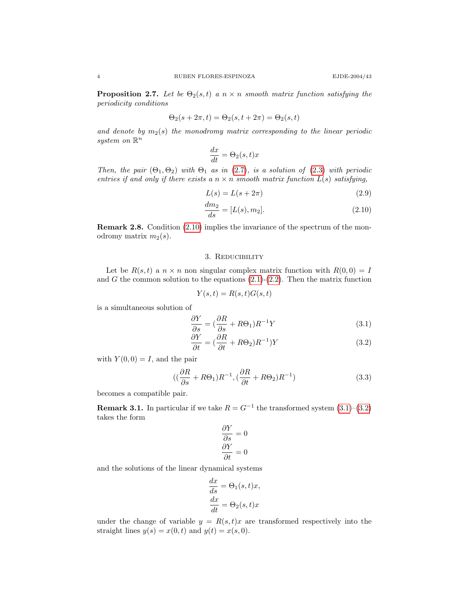**Proposition 2.7.** Let be  $\Theta_2(s,t)$  a  $n \times n$  smooth matrix function satisfying the periodicity conditions

$$
\Theta_2(s + 2\pi, t) = \Theta_2(s, t + 2\pi) = \Theta_2(s, t)
$$

and denote by  $m_2(s)$  the monodromy matrix corresponding to the linear periodic system on  $\mathbb{R}^n$ 

$$
\frac{dx}{dt} = \Theta_2(s, t)x
$$

Then, the pair  $(\Theta_1, \Theta_2)$  with  $\Theta_1$  as in [\(2.7\)](#page-2-0), is a solution of [\(2.3\)](#page-1-2) with periodic entries if and only if there exists a  $n \times n$  smooth matrix function  $L(s)$  satisfying,

$$
L(s) = L(s + 2\pi) \tag{2.9}
$$

<span id="page-3-0"></span>
$$
\frac{dm_2}{ds} = [L(s), m_2].
$$
\n(2.10)

Remark 2.8. Condition [\(2.10\)](#page-3-0) implies the invariance of the spectrum of the monodromy matrix  $m_2(s)$ .

## 3. Reducibility

Let be  $R(s, t)$  a  $n \times n$  non singular complex matrix function with  $R(0, 0) = I$ and  $G$  the common solution to the equations  $(2.1)-(2.2)$  $(2.1)-(2.2)$ . Then the matrix function

<span id="page-3-1"></span>
$$
Y(s,t) = R(s,t)G(s,t)
$$

is a simultaneous solution of

$$
\frac{\partial Y}{\partial s} = \left(\frac{\partial R}{\partial s} + R\Theta_1\right)R^{-1}Y\tag{3.1}
$$

$$
\frac{\partial Y}{\partial t} = \left(\frac{\partial R}{\partial t} + R\Theta_2\right)R^{-1}Y\tag{3.2}
$$

with  $Y(0, 0) = I$ , and the pair

$$
((\frac{\partial R}{\partial s} + R\Theta_1)R^{-1}, (\frac{\partial R}{\partial t} + R\Theta_2)R^{-1})
$$
\n(3.3)

becomes a compatible pair.

**Remark 3.1.** In particular if we take  $R = G^{-1}$  the transformed system  $(3.1)$ – $(3.2)$ takes the form

<span id="page-3-2"></span>
$$
\frac{\partial Y}{\partial s} = 0
$$

$$
\frac{\partial Y}{\partial t} = 0
$$

and the solutions of the linear dynamical systems

$$
\frac{dx}{ds} = \Theta_1(s, t)x,
$$

$$
\frac{dx}{dt} = \Theta_2(s, t)x
$$

 $\mathbf{a}$ 

under the change of variable  $y = R(s, t)x$  are transformed respectively into the straight lines  $y(s) = x(0, t)$  and  $y(t) = x(s, 0)$ .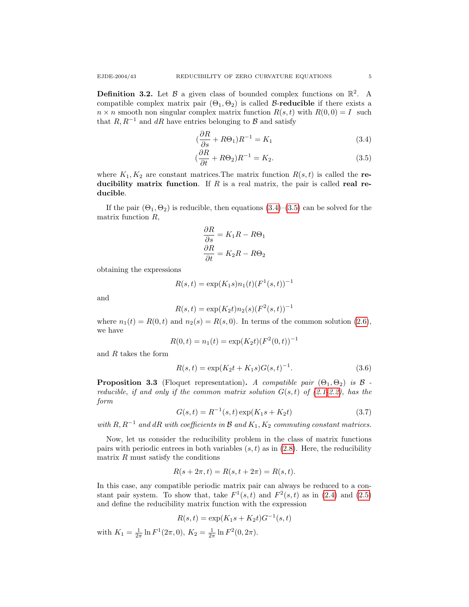**Definition 3.2.** Let  $\beta$  a given class of bounded complex functions on  $\mathbb{R}^2$ . A compatible complex matrix pair  $(\Theta_1, \Theta_2)$  is called B-reducible if there exists a  $n \times n$  smooth non singular complex matrix function  $R(s, t)$  with  $R(0, 0) = I$  such that  $R, R^{-1}$  and dR have entries belonging to B and satisfy

<span id="page-4-0"></span>
$$
\left(\frac{\partial R}{\partial s} + R\Theta_1\right)R^{-1} = K_1\tag{3.4}
$$

<span id="page-4-1"></span>
$$
\left(\frac{\partial R}{\partial t} + R\Theta_2\right)R^{-1} = K_2.
$$
\n(3.5)

where  $K_1, K_2$  are constant matrices. The matrix function  $R(s, t)$  is called the reducibility matrix function. If  $R$  is a real matrix, the pair is called real reducible.

If the pair  $(\Theta_1, \Theta_2)$  is reducible, then equations  $(3.4)$ – $(3.5)$  can be solved for the matrix function R,

$$
\frac{\partial R}{\partial s} = K_1 R - R\Theta_1
$$

$$
\frac{\partial R}{\partial t} = K_2 R - R\Theta_2
$$

obtaining the expressions

$$
R(s,t) = \exp(K_1s)n_1(t)(F^1(s,t))^{-1}
$$

and

$$
R(s,t) = \exp(K_2t)n_2(s)(F^2(s,t))^{-1}
$$

where  $n_1(t) = R(0, t)$  and  $n_2(s) = R(s, 0)$ . In terms of the common solution [\(2.6\)](#page-2-1), we have

$$
R(0,t) = n_1(t) = \exp(K_2 t) (F^2(0,t))^{-1}
$$

and  $R$  takes the form

$$
R(s,t) = \exp(K_2t + K_1s)G(s,t)^{-1}.
$$
\n(3.6)

**Proposition 3.3** (Floquet representation). A compatible pair  $(\Theta_1, \Theta_2)$  is  $\beta$ reducible, if and only if the common matrix solution  $G(s,t)$  of [\(2.1-](#page-1-0)[2.2\)](#page-1-1), has the form

$$
G(s,t) = R^{-1}(s,t) \exp(K_1s + K_2t)
$$
\n(3.7)

with R,  $R^{-1}$  and dR with coefficients in B and  $K_1, K_2$  commuting constant matrices.

Now, let us consider the reducibility problem in the class of matrix functions pairs with periodic entrees in both variables  $(s, t)$  as in  $(2.8)$ . Here, the reducibility matrix  $R$  must satisfy the conditions

$$
R(s + 2\pi, t) = R(s, t + 2\pi) = R(s, t).
$$

In this case, any compatible periodic matrix pair can always be reduced to a constant pair system. To show that, take  $F^1(s,t)$  and  $F^2(s,t)$  as in [\(2.4\)](#page-1-3) and [\(2.5\)](#page-1-4) and define the reducibility matrix function with the expression

$$
R(s,t) = \exp(K_1s + K_2t)G^{-1}(s,t)
$$

with  $K_1 = \frac{1}{2\pi} \ln F^1(2\pi, 0), K_2 = \frac{1}{2\pi} \ln F^2(0, 2\pi).$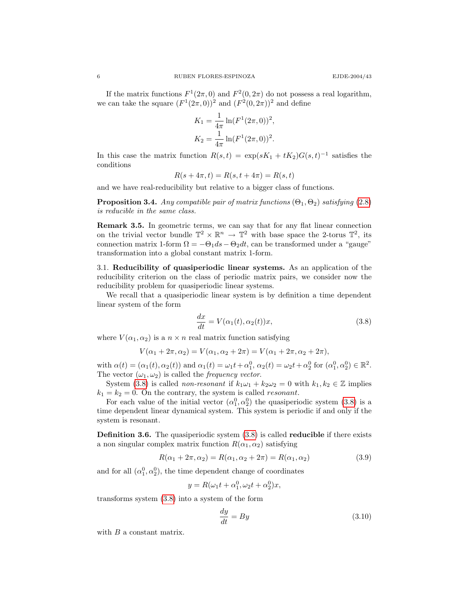If the matrix functions  $F^1(2\pi, 0)$  and  $F^2(0, 2\pi)$  do not possess a real logarithm, we can take the square  $(F^1(2\pi, 0))^2$  and  $(F^2(0, 2\pi))^2$  and define

$$
K_1 = \frac{1}{4\pi} \ln(F^1(2\pi, 0))^2,
$$
  
\n
$$
K_2 = \frac{1}{4\pi} \ln(F^1(2\pi, 0))^2.
$$

In this case the matrix function  $R(s,t) = \exp(sK_1 + tK_2)G(s,t)^{-1}$  satisfies the conditions

$$
R(s + 4\pi, t) = R(s, t + 4\pi) = R(s, t)
$$

<span id="page-5-1"></span>and we have real-reducibility but relative to a bigger class of functions.

**Proposition 3.4.** Any compatible pair of matrix functions  $(\Theta_1, \Theta_2)$  satisfying [\(2.8\)](#page-2-2) is reducible in the same class.

Remark 3.5. In geometric terms, we can say that for any flat linear connection on the trivial vector bundle  $\mathbb{T}^2 \times \mathbb{R}^n \to \mathbb{T}^2$  with base space the 2-torus  $\mathbb{T}^2$ , its connection matrix 1-form  $\Omega = -\Theta_1 ds - \Theta_2 dt$ , can be transformed under a "gauge" transformation into a global constant matrix 1-form.

3.1. Reducibility of quasiperiodic linear systems. As an application of the reducibility criterion on the class of periodic matrix pairs, we consider now the reducibility problem for quasiperiodic linear systems.

We recall that a quasiperiodic linear system is by definition a time dependent linear system of the form

<span id="page-5-0"></span>
$$
\frac{dx}{dt} = V(\alpha_1(t), \alpha_2(t))x,\tag{3.8}
$$

where  $V(\alpha_1, \alpha_2)$  is a  $n \times n$  real matrix function satisfying

 $V(\alpha_1 + 2\pi, \alpha_2) = V(\alpha_1, \alpha_2 + 2\pi) = V(\alpha_1 + 2\pi, \alpha_2 + 2\pi),$ 

with  $\alpha(t) = (\alpha_1(t), \alpha_2(t))$  and  $\alpha_1(t) = \omega_1 t + \alpha_1^0$ ,  $\alpha_2(t) = \omega_2 t + \alpha_2^0$  for  $(\alpha_1^0, \alpha_2^0) \in \mathbb{R}^2$ . The vector  $(\omega_1, \omega_2)$  is called the *frequency vector*.

System [\(3.8\)](#page-5-0) is called *non-resonant* if  $k_1\omega_1 + k_2\omega_2 = 0$  with  $k_1, k_2 \in \mathbb{Z}$  implies  $k_1 = k_2 = 0$ . On the contrary, the system is called *resonant*.

For each value of the initial vector  $(\alpha_1^0, \alpha_2^0)$  the quasiperiodic system [\(3.8\)](#page-5-0) is a time dependent linear dynamical system. This system is periodic if and only if the system is resonant.

Definition 3.6. The quasiperiodic system [\(3.8\)](#page-5-0) is called reducible if there exists a non singular complex matrix function  $R(\alpha_1, \alpha_2)$  satisfying

$$
R(\alpha_1 + 2\pi, \alpha_2) = R(\alpha_1, \alpha_2 + 2\pi) = R(\alpha_1, \alpha_2)
$$
\n(3.9)

and for all  $(\alpha_1^0, \alpha_2^0)$ , the time dependent change of coordinates

$$
y = R(\omega_1 t + \alpha_1^0, \omega_2 t + \alpha_2^0)x,
$$

transforms system [\(3.8\)](#page-5-0) into a system of the form

$$
\frac{dy}{dt} = By \tag{3.10}
$$

with  $B$  a constant matrix.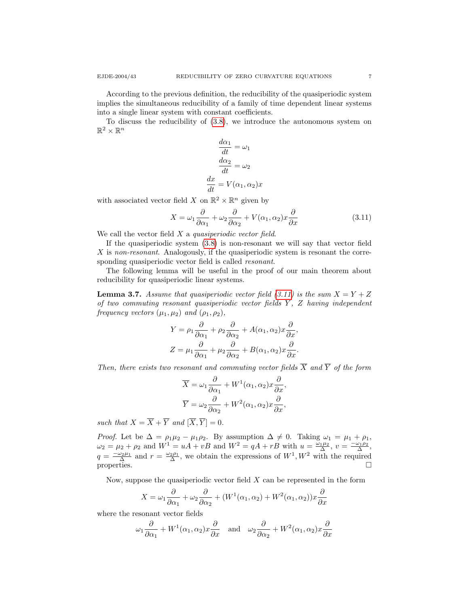According to the previous definition, the reducibility of the quasiperiodic system

implies the simultaneous reducibility of a family of time dependent linear systems into a single linear system with constant coefficients.

To discuss the reducibility of [\(3.8\)](#page-5-0), we introduce the autonomous system on  $\mathbb{R}^2 \times \mathbb{R}^n$ 

<span id="page-6-0"></span>
$$
\frac{d\alpha_1}{dt} = \omega_1
$$

$$
\frac{d\alpha_2}{dt} = \omega_2
$$

$$
\frac{dx}{dt} = V(\alpha_1, \alpha_2)x
$$

with associated vector field X on  $\mathbb{R}^2 \times \mathbb{R}^n$  given by

$$
X = \omega_1 \frac{\partial}{\partial \alpha_1} + \omega_2 \frac{\partial}{\partial \alpha_2} + V(\alpha_1, \alpha_2) x \frac{\partial}{\partial x}
$$
 (3.11)

We call the vector field  $X$  a *quasiperiodic vector field*.

If the quasiperiodic system [\(3.8\)](#page-5-0) is non-resonant we will say that vector field  $X$  is non-resonant. Analogously, if the quasiperiodic system is resonant the corresponding quasiperiodic vector field is called resonant.

The following lemma will be useful in the proof of our main theorem about reducibility for quasiperiodic linear systems.

**Lemma 3.7.** Assume that quasiperiodic vector field [\(3.11\)](#page-6-0) is the sum  $X = Y + Z$ of two commuting resonant quasiperiodic vector fields  $Y$ ,  $Z$  having independent frequency vectors  $(\mu_1, \mu_2)$  and  $(\rho_1, \rho_2)$ ,

$$
Y = \rho_1 \frac{\partial}{\partial \alpha_1} + \rho_2 \frac{\partial}{\partial \alpha_2} + A(\alpha_1, \alpha_2) x \frac{\partial}{\partial x},
$$
  

$$
Z = \mu_1 \frac{\partial}{\partial \alpha_1} + \mu_2 \frac{\partial}{\partial \alpha_2} + B(\alpha_1, \alpha_2) x \frac{\partial}{\partial x}.
$$

Then, there exists two resonant and commuting vector fields  $\overline{X}$  and  $\overline{Y}$  of the form

$$
\overline{X} = \omega_1 \frac{\partial}{\partial \alpha_1} + W^1(\alpha_1, \alpha_2) x \frac{\partial}{\partial x},
$$
  

$$
\overline{Y} = \omega_2 \frac{\partial}{\partial \alpha_2} + W^2(\alpha_1, \alpha_2) x \frac{\partial}{\partial x},
$$

such that  $X = \overline{X} + \overline{Y}$  and  $[\overline{X}, \overline{Y}] = 0$ .

*Proof.* Let be  $\Delta = \rho_1 \mu_2 - \mu_1 \rho_2$ . By assumption  $\Delta \neq 0$ . Taking  $\omega_1 = \mu_1 + \rho_1$ ,  $\omega_2 = \mu_2 + \rho_2$  and  $W^1 = uA + vB$  and  $W^2 = qA + rB$  with  $u = \frac{\omega_1 \mu_2}{\Delta}$ ,  $v = \frac{-\omega_1 \rho_2}{\Delta}$ ,  $q = \frac{-\omega_2 \mu_1}{\Delta}$  and  $r = \frac{\omega_2 \rho_1}{\Delta}$ , we obtain the expressions of  $W^1, W^2$  with the required properties.  $\Box$ 

Now, suppose the quasiperiodic vector field  $X$  can be represented in the form

$$
X = \omega_1 \frac{\partial}{\partial \alpha_1} + \omega_2 \frac{\partial}{\partial \alpha_2} + (W^1(\alpha_1, \alpha_2) + W^2(\alpha_1, \alpha_2))x \frac{\partial}{\partial x}
$$

where the resonant vector fields

$$
\omega_1 \frac{\partial}{\partial \alpha_1} + W^1(\alpha_1, \alpha_2) x \frac{\partial}{\partial x}
$$
 and  $\omega_2 \frac{\partial}{\partial \alpha_2} + W^2(\alpha_1, \alpha_2) x \frac{\partial}{\partial x}$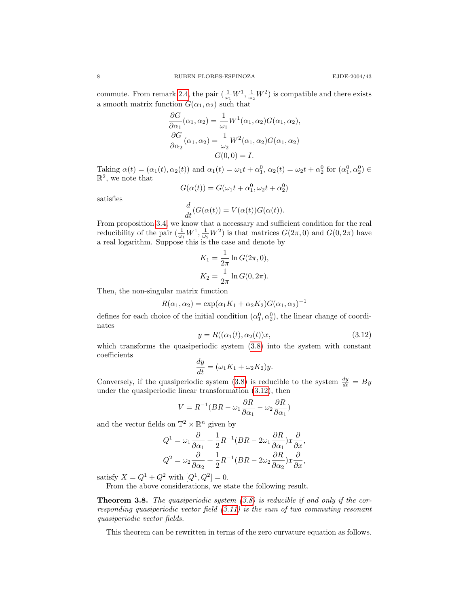commute. From remark [2.4,](#page-2-3) the pair  $(\frac{1}{\omega_1}W^1, \frac{1}{\omega_2}W^2)$  is compatible and there exists a smooth matrix function  $G(\alpha_1, \alpha_2)$  such that

$$
\frac{\partial G}{\partial \alpha_1}(\alpha_1, \alpha_2) = \frac{1}{\omega_1} W^1(\alpha_1, \alpha_2) G(\alpha_1, \alpha_2),
$$
  

$$
\frac{\partial G}{\partial \alpha_2}(\alpha_1, \alpha_2) = \frac{1}{\omega_2} W^2(\alpha_1, \alpha_2) G(\alpha_1, \alpha_2)
$$
  

$$
G(0, 0) = I.
$$

Taking  $\alpha(t) = (\alpha_1(t), \alpha_2(t))$  and  $\alpha_1(t) = \omega_1 t + \alpha_1^0$ ,  $\alpha_2(t) = \omega_2 t + \alpha_2^0$  for  $(\alpha_1^0, \alpha_2^0) \in$  $\mathbb{R}^2$ , we note that

$$
G(\alpha(t)) = G(\omega_1 t + \alpha_1^0, \omega_2 t + \alpha_2^0)
$$

satisfies

$$
\frac{d}{dt}(G(\alpha(t)) = V(\alpha(t))G(\alpha(t)).
$$

From proposition [3.4,](#page-5-1) we know that a necessary and sufficient condition for the real reducibility of the pair  $(\frac{1}{\omega_1}W^1, \frac{1}{\omega_2}W^2)$  is that matrices  $G(2\pi, 0)$  and  $G(0, 2\pi)$  have a real logarithm. Suppose this is the case and denote by

$$
K_1 = \frac{1}{2\pi} \ln G(2\pi, 0),
$$
  
\n
$$
K_2 = \frac{1}{2\pi} \ln G(0, 2\pi).
$$

Then, the non-singular matrix function

$$
R(\alpha_1, \alpha_2) = \exp(\alpha_1 K_1 + \alpha_2 K_2) G(\alpha_1, \alpha_2)^{-1}
$$

<span id="page-7-0"></span>defines for each choice of the initial condition  $(\alpha_1^0, \alpha_2^0)$ , the linear change of coordinates

$$
y = R((\alpha_1(t), \alpha_2(t))x,\tag{3.12}
$$

which transforms the quasiperiodic system [\(3.8\)](#page-5-0) into the system with constant coefficients

$$
\frac{dy}{dt} = (\omega_1 K_1 + \omega_2 K_2) y.
$$

Conversely, if the quasiperiodic system [\(3.8\)](#page-5-0) is reducible to the system  $\frac{dy}{dt} = By$ under the quasiperiodic linear transformation [\(3.12\)](#page-7-0), then

$$
V = R^{-1}(BR - \omega_1 \frac{\partial R}{\partial \alpha_1} - \omega_2 \frac{\partial R}{\partial \alpha_1})
$$

and the vector fields on  $\mathbb{T}^2 \times \mathbb{R}^n$  given by

$$
Q^{1} = \omega_{1} \frac{\partial}{\partial \alpha_{1}} + \frac{1}{2} R^{-1} (BR - 2\omega_{1} \frac{\partial R}{\partial \alpha_{1}}) x \frac{\partial}{\partial x},
$$
  

$$
Q^{2} = \omega_{2} \frac{\partial}{\partial \alpha_{2}} + \frac{1}{2} R^{-1} (BR - 2\omega_{2} \frac{\partial R}{\partial \alpha_{2}}) x \frac{\partial}{\partial x},
$$

satisfy  $X = Q^1 + Q^2$  with  $[Q^1, Q^2] = 0$ .

From the above considerations, we state the following result.

**Theorem 3.8.** The quasiperiodic system  $(3.8)$  is reducible if and only if the corresponding quasiperiodic vector field  $(3.11)$  is the sum of two commuting resonant quasiperiodic vector fields.

This theorem can be rewritten in terms of the zero curvature equation as follows.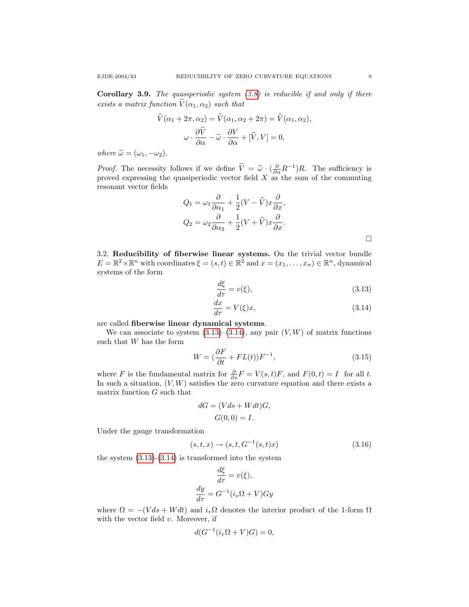$$
V(\alpha_1 + 2\pi, \alpha_2) = V(\alpha_1, \alpha_2 + 2\pi) = V(\alpha_1, \alpha_2),
$$

$$
\omega \cdot \frac{\partial \tilde{V}}{\partial \alpha} - \tilde{\omega} \cdot \frac{\partial V}{\partial \alpha} + [\tilde{V}, V] = 0,
$$

where  $\widetilde{\omega} = (\omega_1, -\omega_2)$ .

*Proof.* The necessity follows if we define  $\tilde{V} = \tilde{\omega} \cdot (\frac{\partial}{\partial \alpha} R^{-1})R$ . The sufficiency is proved expressing the quasiperiodic vector field  $X$  as the sum of the commuting resonant vector fields

$$
Q_1 = \omega_1 \frac{\partial}{\partial \alpha_1} + \frac{1}{2} (V - \widetilde{V}) x \frac{\partial}{\partial x},
$$
  

$$
Q_2 = \omega_2 \frac{\partial}{\partial \alpha_2} + \frac{1}{2} (V + \widetilde{V}) x \frac{\partial}{\partial x}.
$$

3.2. Reducibility of fiberwise linear systems. On the trivial vector bundle  $E = \mathbb{R}^2 \times \mathbb{R}^n$  with coordinates  $\xi = (s, t) \in \mathbb{R}^2$  and  $x = (x_1, \dots, x_n) \in \mathbb{R}^n$ , dynamical systems of the form

<span id="page-8-1"></span><span id="page-8-0"></span>
$$
\frac{d\xi}{d\tau} = v(\xi),\tag{3.13}
$$

$$
\frac{dx}{d\tau} = V(\xi)x,\tag{3.14}
$$

are called fiberwise linear dynamical systems.

We can associate to system  $(3.13)$ – $(3.14)$ , any pair  $(V, W)$  of matrix functions such that W has the form

$$
W = \left(\frac{\partial F}{\partial t} + FL(t)\right)F^{-1},\tag{3.15}
$$

where F is the fundamental matrix for  $\frac{\partial}{\partial s}F = V(s,t)F$ , and  $F(0,t) = I$  for all t. In such a situation,  $(V, W)$  satisfies the zero curvature equation and there exists a matrix function G such that

$$
dG = (Vds + Wdt)G,
$$
  

$$
G(0,0) = I.
$$

Under the gauge transformation

<span id="page-8-2"></span>
$$
(s, t, x) \to (s, t, G^{-1}(s, t)x)
$$
\n(3.16)

the system  $(3.13)-(3.14)$  $(3.13)-(3.14)$  is transformed into the system

$$
\frac{d\xi}{d\tau} = v(\xi),
$$

$$
\frac{dy}{d\tau} = G^{-1}(i_v \Omega + V)Gy
$$

where  $\Omega = -(V ds + W dt)$  and  $i_v \Omega$  denotes the interior product of the 1-form  $\Omega$ with the vector field  $v$ . Moreover, if

$$
d(G^{-1}(i_v\Omega + V)G) = 0,
$$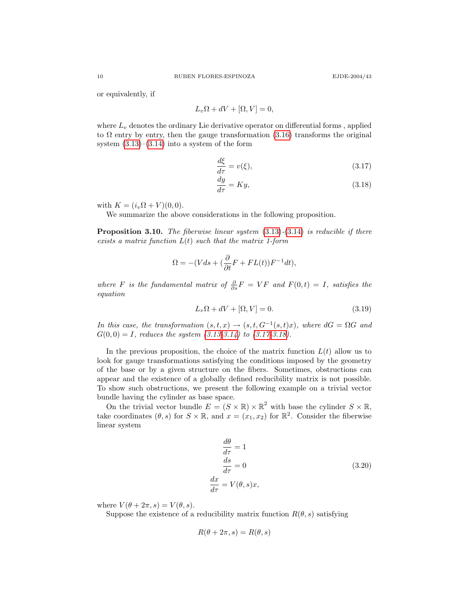or equivalently, if

$$
L_v\Omega + dV + [\Omega, V] = 0,
$$

where  $L_v$  denotes the ordinary Lie derivative operator on differential forms, applied to  $\Omega$  entry by entry, then the gauge transformation [\(3.16\)](#page-8-2) transforms the original system  $(3.13)$ – $(3.14)$  into a system of the form

<span id="page-9-0"></span>
$$
\frac{d\xi}{d\tau} = v(\xi),\tag{3.17}
$$

<span id="page-9-1"></span>
$$
\frac{dy}{d\tau} = Ky,\t\t(3.18)
$$

with  $K = (i_v \Omega + V)(0, 0)$ .

We summarize the above considerations in the following proposition.

**Proposition 3.10.** The fiberwise linear system  $(3.13)-(3.14)$  $(3.13)-(3.14)$  $(3.13)-(3.14)$  is reducible if there exists a matrix function  $L(t)$  such that the matrix 1-form

$$
\Omega = -(Vds + (\frac{\partial}{\partial t}F + FL(t))F^{-1}dt),
$$

where F is the fundamental matrix of  $\frac{\partial}{\partial s}F = VF$  and  $F(0,t) = I$ , satisfies the equation

$$
L_v\Omega + dV + [\Omega, V] = 0.
$$
\n(3.19)

In this case, the transformation  $(s,t,x) \rightarrow (s,t,G^{-1}(s,t)x)$ , where  $dG = \Omega G$  and  $G(0,0) = I$ , reduces the system  $(3.13-3.14)$  $(3.13-3.14)$  to  $(3.17-3.18)$  $(3.17-3.18)$ .

In the previous proposition, the choice of the matrix function  $L(t)$  allow us to look for gauge transformations satisfying the conditions imposed by the geometry of the base or by a given structure on the fibers. Sometimes, obstructions can appear and the existence of a globally defined reducibility matrix is not possible. To show such obstructions, we present the following example on a trivial vector bundle having the cylinder as base space.

On the trivial vector bundle  $E = (S \times \mathbb{R}) \times \mathbb{R}^2$  with base the cylinder  $S \times \mathbb{R}$ , take coordinates  $(\theta, s)$  for  $S \times \mathbb{R}$ , and  $x = (x_1, x_2)$  for  $\mathbb{R}^2$ . Consider the fiberwise linear system

<span id="page-9-2"></span>
$$
\frac{d\theta}{d\tau} = 1
$$
  
\n
$$
\frac{ds}{d\tau} = 0
$$
  
\n
$$
\frac{dx}{d\tau} = V(\theta, s)x,
$$
\n(3.20)

where  $V(\theta + 2\pi, s) = V(\theta, s)$ .

Suppose the existence of a reducibility matrix function  $R(\theta, s)$  satisfying

$$
R(\theta + 2\pi, s) = R(\theta, s)
$$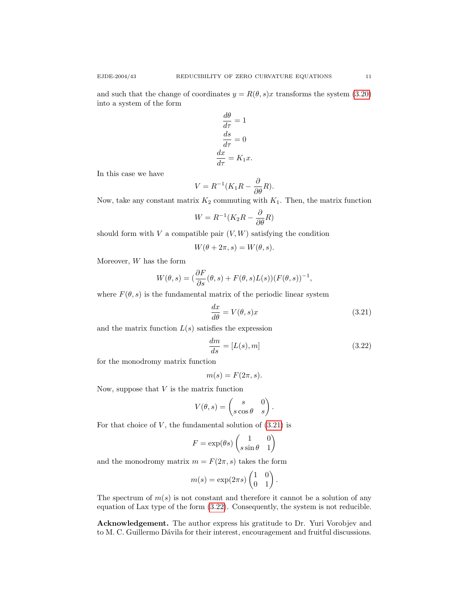and such that the change of coordinates  $y = R(\theta, s)x$  transforms the system [\(3.20\)](#page-9-2) into a system of the form

$$
\frac{d\theta}{d\tau} = 1
$$

$$
\frac{ds}{d\tau} = 0
$$

$$
\frac{dx}{d\tau} = K_1 x.
$$

In this case we have

$$
V = R^{-1}(K_1R - \frac{\partial}{\partial \theta}R).
$$

Now, take any constant matrix  $K_2$  commuting with  $K_1$ . Then, the matrix function

$$
W = R^{-1}(K_2R - \frac{\partial}{\partial \theta}R)
$$

should form with  $V$  a compatible pair  $(V, W)$  satisfying the condition

$$
W(\theta + 2\pi, s) = W(\theta, s).
$$

Moreover,  $W$  has the form

$$
W(\theta, s) = (\frac{\partial F}{\partial s}(\theta, s) + F(\theta, s)L(s))(F(\theta, s))^{-1},
$$

where  $F(\theta, s)$  is the fundamental matrix of the periodic linear system

<span id="page-10-1"></span><span id="page-10-0"></span>
$$
\frac{dx}{d\theta} = V(\theta, s)x\tag{3.21}
$$

and the matrix function  $L(s)$  satisfies the expression

$$
\frac{dm}{ds} = [L(s), m] \tag{3.22}
$$

for the monodromy matrix function

$$
m(s) = F(2\pi, s).
$$

Now, suppose that  $V$  is the matrix function

$$
V(\theta, s) = \begin{pmatrix} s & 0 \\ s \cos \theta & s \end{pmatrix}.
$$

For that choice of  $V$ , the fundamental solution of  $(3.21)$  is

$$
F = \exp(\theta s) \begin{pmatrix} 1 & 0 \\ s \sin \theta & 1 \end{pmatrix}
$$

and the monodromy matrix  $m = F(2\pi, s)$  takes the form

$$
m(s) = \exp(2\pi s) \begin{pmatrix} 1 & 0 \\ 0 & 1 \end{pmatrix}.
$$

The spectrum of  $m(s)$  is not constant and therefore it cannot be a solution of any equation of Lax type of the form [\(3.22\)](#page-10-1). Consequently, the system is not reducible.

Acknowledgement. The author express his gratitude to Dr. Yuri Vorobjev and to M. C. Guillermo Dávila for their interest, encouragement and fruitful discussions.